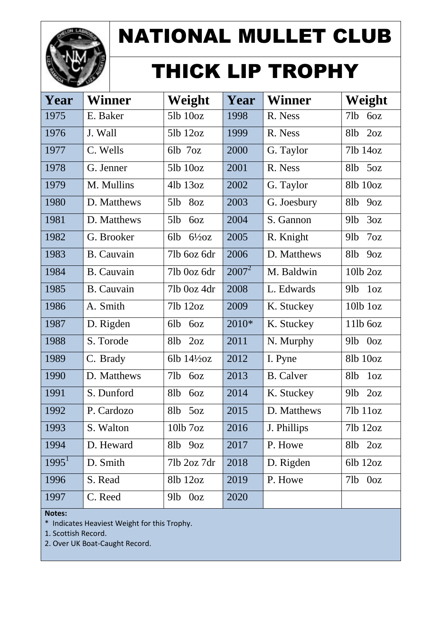

# THICK LIP TROPHY

| Year     | <b>Winner</b>     | Weight                   | Year     | <b>Winner</b>    | Weight                              |
|----------|-------------------|--------------------------|----------|------------------|-------------------------------------|
| 1975     | E. Baker          | 51b 10oz                 | 1998     | R. Ness          | 71 <sub>b</sub><br>6oz              |
| 1976     | J. Wall           | $5lb$ $12oz$             | 1999     | R. Ness          | 2oz<br>8 <sub>1</sub> b             |
| 1977     | C. Wells          | 6lb 7oz                  | 2000     | G. Taylor        | 71b 14oz                            |
| 1978     | G. Jenner         | $5lb$ $10oz$             | 2001     | R. Ness          | 50z<br>8lb                          |
| 1979     | M. Mullins        | $4lb$ 13 $oz$            | 2002     | G. Taylor        | 81b 10oz                            |
| 1980     | D. Matthews       | 5lb<br>8oz               | 2003     | G. Joesbury      | 8 <sub>1</sub> b<br>90Z             |
| 1981     | D. Matthews       | 5lb<br>60Z               | 2004     | S. Gannon        | 3oz<br>91 <sub>b</sub>              |
| 1982     | G. Brooker        | 6lb<br>$6\frac{1}{2}$ oz | 2005     | R. Knight        | 7oz<br>91 <sub>b</sub>              |
| 1983     | <b>B.</b> Cauvain | 7lb 6oz 6dr              | 2006     | D. Matthews      | 8 <sub>1</sub> b<br>90Z             |
| 1984     | B. Cauvain        | 71b Ooz 6dr              | $2007^2$ | M. Baldwin       | $10$ lb $2oz$                       |
| 1985     | <b>B.</b> Cauvain | 71b Ooz 4dr              | 2008     | L. Edwards       | 91 <sub>b</sub><br>1 <sub>oz</sub>  |
| 1986     | A. Smith          | $7lb$ $12oz$             | 2009     | K. Stuckey       | $10$ l $b$ $1oz$                    |
| 1987     | D. Rigden         | 6lb<br>60Z               | 2010*    | K. Stuckey       | 11lb 60z                            |
| 1988     | S. Torode         | 2oz<br>8 <sub>1</sub> b  | 2011     | N. Murphy        | $9$ lb<br>0 <sub>oz</sub>           |
| 1989     | C. Brady          | 6lb $14\frac{1}{2}$ oz   | 2012     | I. Pyne          | 81b 10oz                            |
| 1990     | D. Matthews       | 71 <sub>b</sub><br>6oz   | 2013     | <b>B.</b> Calver | 1 <sub>oz</sub><br>8 <sub>1</sub> b |
| 1991     | S. Dunford        | 8 <sub>1</sub> b<br>6oz  | 2014     | K. Stuckey       | 2oz<br>$9$ lb                       |
| 1992     | P. Cardozo        | 50z<br>8 <sub>1</sub> b  | 2015     | D. Matthews      | 71b 11oz                            |
| 1993     | S. Walton         | 10lb 7oz                 | 2016     | J. Phillips      | 7lb 12oz                            |
| 1994     | D. Heward         | 81b<br>90Z               | 2017     | P. Howe          | 8lb<br>2oz                          |
| $1995^1$ | D. Smith          | 71b 2oz 7dr              | 2018     | D. Rigden        | 6lb 12oz                            |
| 1996     | S. Read           | 81b 12oz                 | 2019     | P. Howe          | 7lb 0oz                             |
| 1997     | C. Reed           | 91b<br>0 <sub>oz</sub>   | 2020     |                  |                                     |

#### **Notes:**

\* Indicates Heaviest Weight for this Trophy.

1. Scottish Record.

2. Over UK Boat-Caught Record.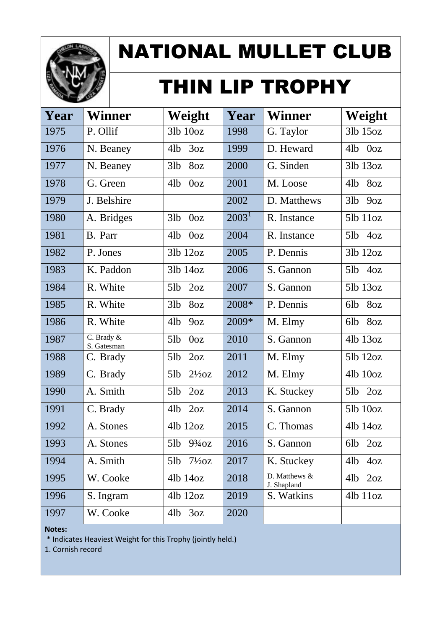

# THIN LIP TROPHY

| Year | Winner                    | Weight                   | Year     | <b>Winner</b>                | Weight                 |
|------|---------------------------|--------------------------|----------|------------------------------|------------------------|
| 1975 | P. Ollif                  | $3lb$ $10oz$             | 1998     | G. Taylor                    | 31b 15oz               |
| 1976 | N. Beaney                 | 41 <sub>b</sub><br>3oz   | 1999     | D. Heward                    | 0 <sub>oz</sub><br>4lb |
| 1977 | N. Beaney                 | 3lb<br>8oz               | 2000     | G. Sinden                    | 31b 13oz               |
| 1978 | G. Green                  | 4lb<br>0 <sub>oz</sub>   | 2001     | M. Loose                     | 8oz<br>4lb             |
| 1979 | J. Belshire               |                          | 2002     | D. Matthews                  | 3lb<br>9oz             |
| 1980 | A. Bridges                | 3lb<br>0 <sub>oz</sub>   | $2003^1$ | R. Instance                  | $5lb$ $11oz$           |
| 1981 | B. Parr                   | 4lb<br>0 <sub>oz</sub>   | 2004     | R. Instance                  | $5lb$ 4oz              |
| 1982 | P. Jones                  | $3lb$ $12oz$             | 2005     | P. Dennis                    | $3lb$ $12oz$           |
| 1983 | K. Paddon                 | $3lb$ $14oz$             | 2006     | S. Gannon                    | $5lb$ $4oz$            |
| 1984 | R. White                  | 2oz<br>5lb               | 2007     | S. Gannon                    | 51b 13oz               |
| 1985 | R. White                  | 3lb<br>8oz               | 2008*    | P. Dennis                    | 6lb<br>80z             |
| 1986 | R. White                  | 41 <sub>b</sub><br>9oz   | 2009*    | M. Elmy                      | 8oz<br>6lb             |
| 1987 | C. Brady &<br>S. Gatesman | 5lb<br>0 <sub>oz</sub>   | 2010     | S. Gannon                    | 41b 13oz               |
| 1988 | C. Brady                  | 5lb<br>2oz               | 2011     | M. Elmy                      | 51b 12oz               |
| 1989 | C. Brady                  | 5lb<br>$2\frac{1}{2}oz$  | 2012     | M. Elmy                      | 41b 10oz               |
| 1990 | A. Smith                  | 5lb<br>2oz               | 2013     | K. Stuckey                   | 2oz<br>5lb             |
| 1991 | C. Brady                  | 41 <sub>b</sub><br>2oz   | 2014     | S. Gannon                    | 51b 10oz               |
| 1992 | A. Stones                 | $4lb$ $12oz$             | 2015     | C. Thomas                    | 41b 14oz               |
| 1993 | A. Stones                 | 5lb 93/40Z               | 2016     | S. Gannon                    | 6lb<br>2oz             |
| 1994 | A. Smith                  | $7\frac{1}{2}$ oz<br>5lb | 2017     | K. Stuckey                   | 41 <sub>b</sub><br>40z |
| 1995 | W. Cooke                  | 4lb 14oz                 | 2018     | D. Matthews &<br>J. Shapland | $4lb$ $2oz$            |
| 1996 | S. Ingram                 | 41b 12oz                 | 2019     | S. Watkins                   | $4lb$ $11oz$           |
| 1997 | W. Cooke                  | $4lb$ $3oz$              | 2020     |                              |                        |

**Notes:**

\* Indicates Heaviest Weight for this Trophy (jointly held.)

1. Cornish record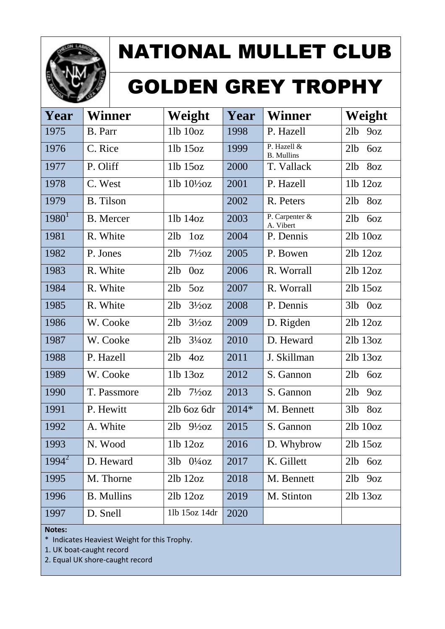

# GOLDEN GREY TROPHY

| Year     | Winner            | Weight                               | Year  | <b>Winner</b>                    | Weight                 |
|----------|-------------------|--------------------------------------|-------|----------------------------------|------------------------|
| 1975     | B. Parr           | $11b$ $10oz$                         | 1998  | P. Hazell                        | 21 <sub>b</sub><br>90Z |
| 1976     | C. Rice           | 11b 15oz                             | 1999  | P. Hazell &<br><b>B.</b> Mullins | 21 <sub>b</sub><br>6oz |
| 1977     | P. Oliff          | $11b$ 15 $oz$                        | 2000  | T. Vallack                       | 8oz<br>21 <sub>b</sub> |
| 1978     | C. West           | 11b $10\frac{1}{2}$ oz               | 2001  | P. Hazell                        | 11b 12oz               |
| 1979     | <b>B.</b> Tilson  |                                      | 2002  | R. Peters                        | 21 <sub>b</sub><br>8oz |
| $1980^1$ | <b>B.</b> Mercer  | 11b 14oz                             | 2003  | P. Carpenter &<br>A. Vibert      | 21 <sub>b</sub><br>6oz |
| 1981     | R. White          | 21 <sub>b</sub><br>1 <sub>oz</sub>   | 2004  | P. Dennis                        | $2lb$ $10oz$           |
| 1982     | P. Jones          | $7\frac{1}{2}$ oz<br>21 <sub>b</sub> | 2005  | P. Bowen                         | $2lb$ $12oz$           |
| 1983     | R. White          | 21 <sub>b</sub><br>0 <sub>oz</sub>   | 2006  | R. Worrall                       | $2lb$ $12oz$           |
| 1984     | R. White          | 21 <sub>b</sub><br>5oz               | 2007  | R. Worrall                       | 21b 15oz               |
| 1985     | R. White          | 21 <sub>b</sub><br>$3\frac{1}{2}$ oz | 2008  | P. Dennis                        | $3lb$ $0oz$            |
| 1986     | W. Cooke          | 21 <sub>b</sub><br>$3\frac{1}{2}$ oz | 2009  | D. Rigden                        | 2lb 12oz               |
| 1987     | W. Cooke          | 21b<br>$3\frac{1}{4}$ oz             | 2010  | D. Heward                        | $2lb$ $13oz$           |
| 1988     | P. Hazell         | 21 <sub>b</sub><br>4oz               | 2011  | J. Skillman                      | 2lb 13oz               |
| 1989     | W. Cooke          | 11b 13oz                             | 2012  | S. Gannon                        | 21 <sub>b</sub><br>60Z |
| 1990     | T. Passmore       | $7\frac{1}{2}$ oz<br>21 <sub>b</sub> | 2013  | S. Gannon                        | 21 <sub>b</sub><br>90Z |
| 1991     | P. Hewitt         | 2lb 6oz 6dr                          | 2014* | M. Bennett                       | 31b<br>8oz             |
| 1992     | A. White          | $2lb$ $9\frac{1}{2}oz$               | 2015  | S. Gannon                        | $2lb$ $10oz$           |
| 1993     | N. Wood           | 11b 12oz                             | 2016  | D. Whybrow                       | 2lb 15oz               |
| $1994^2$ | D. Heward         | $0\frac{1}{4}$ oz<br>3lb             | 2017  | K. Gillett                       | 21 <sub>b</sub><br>60Z |
| 1995     | M. Thorne         | $2lb$ $12oz$                         | 2018  | M. Bennett                       | 2lb<br>90Z             |
| 1996     | <b>B.</b> Mullins | $2lb$ $12oz$                         | 2019  | M. Stinton                       | $2lb$ $13oz$           |
| 1997     | D. Snell          | 11b 15oz 14dr                        | 2020  |                                  |                        |

**Notes:**

\* Indicates Heaviest Weight for this Trophy.

1. UK boat-caught record

2. Equal UK shore-caught record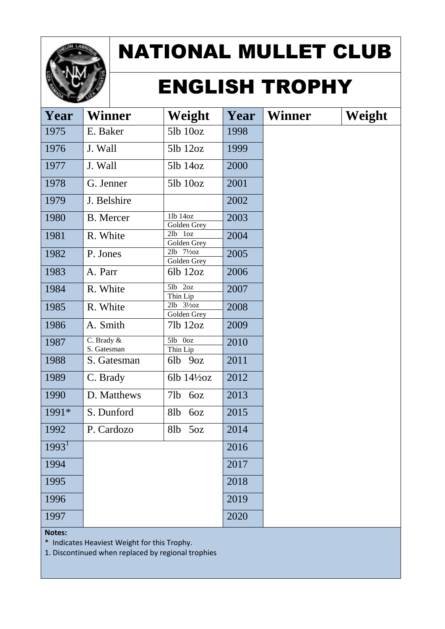

# ENGLISH TROPHY

| Year              | <b>Winner</b>             | Weight                                | Year | <b>Winner</b> | Weight |
|-------------------|---------------------------|---------------------------------------|------|---------------|--------|
| 1975              | E. Baker                  | $5lb$ $10oz$                          | 1998 |               |        |
| 1976              | J. Wall                   | $5lb$ $12oz$                          | 1999 |               |        |
| 1977              | J. Wall                   | 51b 14oz                              | 2000 |               |        |
| 1978              | G. Jenner                 | $5lb$ $10oz$                          | 2001 |               |        |
| 1979              | J. Belshire               |                                       | 2002 |               |        |
| 1980              | <b>B.</b> Mercer          | 11b 14oz<br>Golden Grey               | 2003 |               |        |
| 1981              | R. White                  | $\overline{21b}$ $1oz$<br>Golden Grey | 2004 |               |        |
| 1982              | P. Jones                  | $2lb$ $7\frac{1}{2}oz$<br>Golden Grey | 2005 |               |        |
| 1983              | A. Parr                   | $6lb$ 12 $oz$                         | 2006 |               |        |
| 1984              | R. White                  | $5lb$ $2oz$<br>Thin Lip               | 2007 |               |        |
| 1985              | R. White                  | $2lb$ $3\frac{1}{2}oz$<br>Golden Grey | 2008 |               |        |
| 1986              | A. Smith                  | 71b 12oz                              | 2009 |               |        |
| 1987              | C. Brady &<br>S. Gatesman | 5lb 0oz<br>Thin Lip                   | 2010 |               |        |
| 1988              | S. Gatesman               | 6lb 9oz                               | 2011 |               |        |
| 1989              | C. Brady                  | 6lb $14\frac{1}{2}$ oz                | 2012 |               |        |
| 1990              | D. Matthews               | 71 <sub>b</sub><br>6oz                | 2013 |               |        |
| 1991*             | S. Dunford                | 6oz<br>8lb                            | 2015 |               |        |
| 1992              | P. Cardozo                | 8lb<br>50z                            | 2014 |               |        |
| 1993 <sup>1</sup> |                           |                                       | 2016 |               |        |
| 1994              |                           |                                       | 2017 |               |        |
| 1995              |                           |                                       | 2018 |               |        |
| 1996              |                           |                                       | 2019 |               |        |
| 1997              |                           |                                       | 2020 |               |        |

**Notes:**

\* Indicates Heaviest Weight for this Trophy.

1. Discontinued when replaced by regional trophies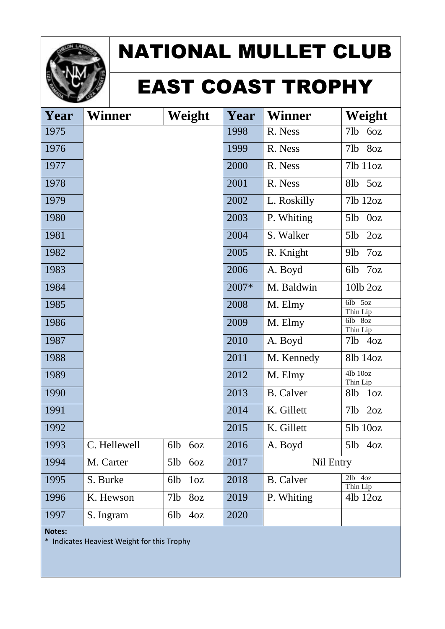

#### EAST COAST TROPHY

| Year | Winner       | Weight                 | Year  | <b>Winner</b>    | Weight                             |
|------|--------------|------------------------|-------|------------------|------------------------------------|
| 1975 |              |                        | 1998  | R. Ness          | 71b<br>6oz                         |
| 1976 |              |                        | 1999  | R. Ness          | 8oz<br>71b                         |
| 1977 |              |                        | 2000  | R. Ness          | 71b 11oz                           |
| 1978 |              |                        | 2001  | R. Ness          | 50z<br>8lb                         |
| 1979 |              |                        | 2002  | L. Roskilly      | 71b 12oz                           |
| 1980 |              |                        | 2003  | P. Whiting       | 5lb<br>0 <sub>oz</sub>             |
| 1981 |              |                        | 2004  | S. Walker        | 5lb<br>2oz                         |
| 1982 |              |                        | 2005  | R. Knight        | 7 <sub>oz</sub><br>91 <sub>b</sub> |
| 1983 |              |                        | 2006  | A. Boyd          | 6lb<br>7 <sub>oz</sub>             |
| 1984 |              |                        | 2007* | M. Baldwin       | $10$ lb $2oz$                      |
| 1985 |              |                        | 2008  | M. Elmy          | 6lb<br>50z<br>Thin Lip             |
| 1986 |              |                        | 2009  | M. Elmy          | 6lb 8oz<br>Thin Lip                |
| 1987 |              |                        | 2010  | A. Boyd          | 71b<br>4oz                         |
| 1988 |              |                        | 2011  | M. Kennedy       | 81b 14oz                           |
| 1989 |              |                        | 2012  | M. Elmy          | 4lb 10oz<br>Thin Lip               |
| 1990 |              |                        | 2013  | <b>B.</b> Calver | 8lb<br>1 <sub>oz</sub>             |
| 1991 |              |                        | 2014  | K. Gillett       | 71b<br>2oz                         |
| 1992 |              |                        | 2015  | K. Gillett       | 51b 10oz                           |
| 1993 | C. Hellewell | 6lb<br>60Z             | 2016  | A. Boyd          | $5lb$ $4oz$                        |
| 1994 | M. Carter    | 5lb<br>6oz             | 2017  | Nil Entry        |                                    |
| 1995 | S. Burke     | 6lb<br>1 <sub>oz</sub> | 2018  | <b>B.</b> Calver | $2lb$ 4oz<br>Thin Lip              |
| 1996 | K. Hewson    | 7lb<br>8 <sub>oz</sub> | 2019  | P. Whiting       | 41b 12oz                           |
| 1997 | S. Ingram    | 6lb<br>4oz             | 2020  |                  |                                    |

**Notes:**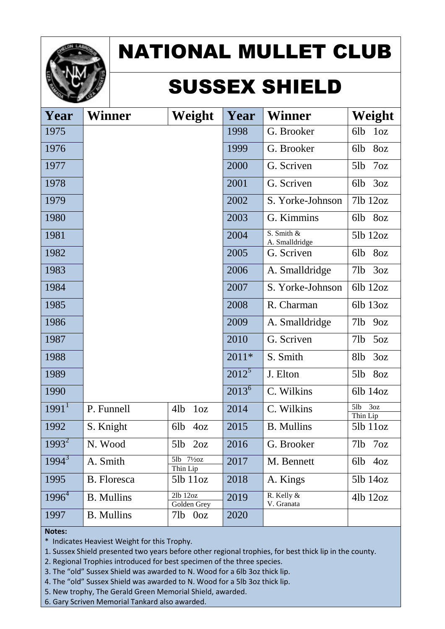

## SUSSEX SHIELD

| Year              | Winner            | Weight                             | Year       | <b>Winner</b>                     | Weight                 |
|-------------------|-------------------|------------------------------------|------------|-----------------------------------|------------------------|
| 1975              |                   |                                    | 1998       | G. Brooker                        | 6lb<br>1 <sub>oz</sub> |
| 1976              |                   |                                    | 1999       | G. Brooker                        | 8oz<br>6lb             |
| 1977              |                   |                                    | 2000       | G. Scriven                        | 5lb<br>7 <sub>oz</sub> |
| 1978              |                   |                                    | 2001       | G. Scriven                        | 3oz<br>6lb             |
| 1979              |                   |                                    | 2002       | S. Yorke-Johnson                  | 71b 12oz               |
| 1980              |                   |                                    | 2003       | G. Kimmins                        | 6lb<br>8oz             |
| 1981              |                   |                                    | 2004       | $S.$ Smith $\&$<br>A. Smalldridge | 51b 12oz               |
| 1982              |                   |                                    | 2005       | G. Scriven                        | 6lb<br>8oz             |
| 1983              |                   |                                    | 2006       | A. Smalldridge                    | 71 <sub>b</sub><br>3oz |
| 1984              |                   |                                    | 2007       | S. Yorke-Johnson                  | $6lb$ $12oz$           |
| 1985              |                   |                                    | 2008       | R. Charman                        | 6lb 13oz               |
| 1986              |                   |                                    | 2009       | A. Smalldridge                    | 71b<br>90z             |
| 1987              |                   |                                    | 2010       | G. Scriven                        | 71b<br>50z             |
| 1988              |                   |                                    | $2011*$    | S. Smith                          | 8lb<br>3oz             |
| 1989              |                   |                                    | $2012^5$   | J. Elton                          | 8oz<br>5lb             |
| 1990              |                   |                                    | $2013^{6}$ | C. Wilkins                        | 6lb 14oz               |
| 1991 <sup>1</sup> | P. Funnell        | 41 <sub>b</sub><br>1 <sub>oz</sub> | 2014       | C. Wilkins                        | 5lb<br>3oz<br>Thin Lip |
| 1992              | S. Knight         | 6lb<br>40z                         | 2015       | <b>B.</b> Mullins                 | 51b 11oz               |
| $1993^2$          | N. Wood           | $5lb$ $2oz$                        | 2016       | G. Brooker                        | 7lb<br>7oz             |
| $1994^3$          | A. Smith          | 5lb 71/20Z<br>Thin Lip             | 2017       | M. Bennett                        | 6lb<br>40z             |
| 1995              | B. Floresca       | $5lb$ $11oz$                       | 2018       | A. Kings                          | 51b 14oz               |
| $1996^4$          | <b>B.</b> Mullins | 2lb 12oz<br>Golden Grey            | 2019       | R. Kelly &<br>V. Granata          | 41b 12oz               |
| 1997              | <b>B.</b> Mullins | 71b<br>0 <sub>oz</sub>             | 2020       |                                   |                        |

#### **Notes:**

\* Indicates Heaviest Weight for this Trophy.

1. Sussex Shield presented two years before other regional trophies, for best thick lip in the county.

2. Regional Trophies introduced for best specimen of the three species.

3. The "old" Sussex Shield was awarded to N. Wood for a 6lb 3oz thick lip.

4. The "old" Sussex Shield was awarded to N. Wood for a 5lb 3oz thick lip.

5. New trophy, The Gerald Green Memorial Shield, awarded.

6. Gary Scriven Memorial Tankard also awarded.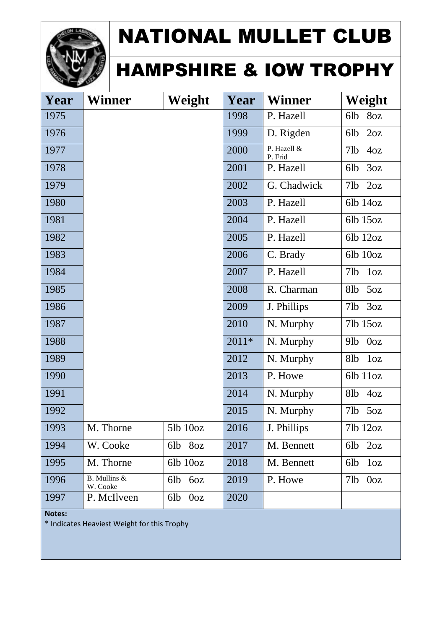

#### HAMPSHIRE & IOW TROPHY

| Year | <b>Winner</b>            | Weight                 | Year    | <b>Winner</b>          | Weight                              |
|------|--------------------------|------------------------|---------|------------------------|-------------------------------------|
| 1975 |                          |                        | 1998    | P. Hazell              | 6lb<br>8oz                          |
| 1976 |                          |                        | 1999    | D. Rigden              | 2oz<br>6lb                          |
| 1977 |                          |                        | 2000    | P. Hazell &<br>P. Frid | 71b<br>40z                          |
| 1978 |                          |                        | 2001    | P. Hazell              | 3oz<br>6lb                          |
| 1979 |                          |                        | 2002    | G. Chadwick            | 2oz<br>71b                          |
| 1980 |                          |                        | 2003    | P. Hazell              | 6lb 14oz                            |
| 1981 |                          |                        | 2004    | P. Hazell              | 6lb 15oz                            |
| 1982 |                          |                        | 2005    | P. Hazell              | 6lb 12oz                            |
| 1983 |                          |                        | 2006    | C. Brady               | 6lb 10oz                            |
| 1984 |                          |                        | 2007    | P. Hazell              | 71b<br>$1<\alpha$                   |
| 1985 |                          |                        | 2008    | R. Charman             | 50z<br>8lb                          |
| 1986 |                          |                        | 2009    | J. Phillips            | 3oz<br>71b                          |
| 1987 |                          |                        | 2010    | N. Murphy              | 71b 15oz                            |
| 1988 |                          |                        | $2011*$ | N. Murphy              | 91 <sub>b</sub><br>0 <sub>oz</sub>  |
| 1989 |                          |                        | 2012    | N. Murphy              | 8 <sub>1</sub> b<br>1 <sub>oz</sub> |
| 1990 |                          |                        | 2013    | P. Howe                | 6lb 11oz                            |
| 1991 |                          |                        | 2014    | N. Murphy              | 81b<br>40z                          |
| 1992 |                          |                        | 2015    | N. Murphy              | 71 <sub>b</sub><br>50Z              |
| 1993 | M. Thorne                | 51b 10oz               | 2016    | J. Phillips            | 71b 12oz                            |
| 1994 | W. Cooke                 | 6lb 8oz                | 2017    | M. Bennett             | 2oz<br>6lb                          |
| 1995 | M. Thorne                | $6lb$ $10oz$           | 2018    | M. Bennett             | 6lb<br>1 <sub>oz</sub>              |
| 1996 | B. Mullins &<br>W. Cooke | 6lb<br>6oz             | 2019    | P. Howe                | 71 <sub>b</sub><br>0 <sub>oz</sub>  |
| 1997 | P. McIlveen              | 0 <sub>oz</sub><br>6lb | 2020    |                        |                                     |

**Notes:**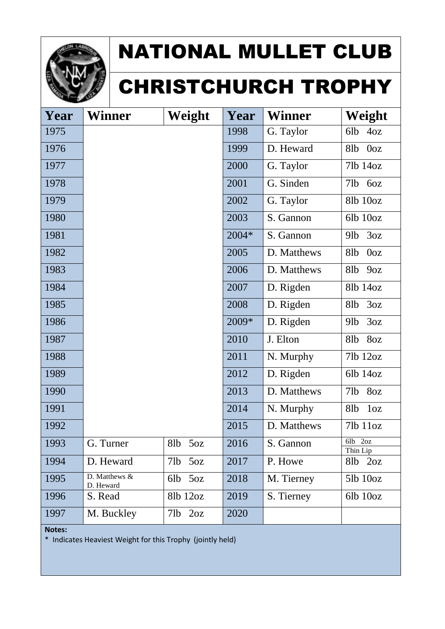

# CHRISTCHURCH TROPHY

| Year | <b>Winner</b>              | Weight                 | Year  | <b>Winner</b> | Weight                              |
|------|----------------------------|------------------------|-------|---------------|-------------------------------------|
| 1975 |                            |                        | 1998  | G. Taylor     | 6lb<br>40z                          |
| 1976 |                            |                        | 1999  | D. Heward     | 8 <sub>1</sub> b<br>0 <sub>oz</sub> |
| 1977 |                            |                        | 2000  | G. Taylor     | 71b 14oz                            |
| 1978 |                            |                        | 2001  | G. Sinden     | 71b<br>60Z                          |
| 1979 |                            |                        | 2002  | G. Taylor     | 81b 10oz                            |
| 1980 |                            |                        | 2003  | S. Gannon     | 6lb 10oz                            |
| 1981 |                            |                        | 2004* | S. Gannon     | 3oz<br>91 <sub>b</sub>              |
| 1982 |                            |                        | 2005  | D. Matthews   | 8 <sub>1</sub> b<br>0 <sub>oz</sub> |
| 1983 |                            |                        | 2006  | D. Matthews   | 8 <sub>1</sub> b<br>90Z             |
| 1984 |                            |                        | 2007  | D. Rigden     | 81b 14oz                            |
| 1985 |                            |                        | 2008  | D. Rigden     | 8 <sub>1</sub> b<br>3oz             |
| 1986 |                            |                        | 2009* | D. Rigden     | 3oz<br>91 <sub>b</sub>              |
| 1987 |                            |                        | 2010  | J. Elton      | 8oz<br>8 <sub>1</sub> b             |
| 1988 |                            |                        | 2011  | N. Murphy     | 71b 12oz                            |
| 1989 |                            |                        | 2012  | D. Rigden     | 6lb 14oz                            |
| 1990 |                            |                        | 2013  | D. Matthews   | 71 <sub>b</sub><br>8oz              |
| 1991 |                            |                        | 2014  | N. Murphy     | 8lb<br>1 <sub>oz</sub>              |
| 1992 |                            |                        | 2015  | D. Matthews   | 71b 11oz                            |
| 1993 | G. Turner                  | 81 <sub>b</sub><br>5oz | 2016  | S. Gannon     | 6lb 2oz<br>Thin Lip                 |
| 1994 | D. Heward                  | 71b<br>50Z             | 2017  | P. Howe       | 8lb<br>2oz                          |
| 1995 | D. Matthews &<br>D. Heward | 6lb<br>50Z             | 2018  | M. Tierney    | 51b 10oz                            |
| 1996 | S. Read                    | 81b 12oz               | 2019  | S. Tierney    | $6lb$ $10oz$                        |
| 1997 | M. Buckley                 | $7lb$ $2oz$            | 2020  |               |                                     |

**Notes:**

\* Indicates Heaviest Weight for this Trophy (jointly held)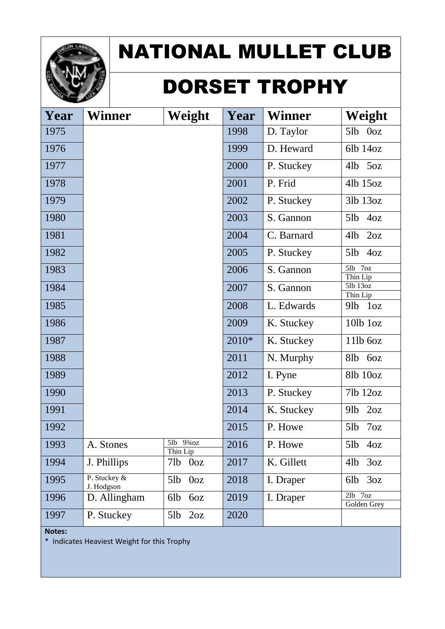

## DORSET TROPHY

| Year | <b>Winner</b>              | Weight                 | Year  | <b>Winner</b> | Weight                     |
|------|----------------------------|------------------------|-------|---------------|----------------------------|
| 1975 |                            |                        | 1998  | D. Taylor     | 5lb 0oz                    |
| 1976 |                            |                        | 1999  | D. Heward     | 6lb 14oz                   |
| 1977 |                            |                        | 2000  | P. Stuckey    | 50z<br>41 <sub>b</sub>     |
| 1978 |                            |                        | 2001  | P. Frid       | 41b 15oz                   |
| 1979 |                            |                        | 2002  | P. Stuckey    | 31b 13oz                   |
| 1980 |                            |                        | 2003  | S. Gannon     | 5lb<br>40z                 |
| 1981 |                            |                        | 2004  | C. Barnard    | 2oz<br>4lb                 |
| 1982 |                            |                        | 2005  | P. Stuckey    | 5lb<br>40z                 |
| 1983 |                            |                        | 2006  | S. Gannon     | 5lb 7oz<br>Thin Lip        |
| 1984 |                            |                        | 2007  | S. Gannon     | 5lb 13oz<br>Thin Lip       |
| 1985 |                            |                        | 2008  | L. Edwards    | 1 <sub>oz</sub><br>$9$ lb  |
| 1986 |                            |                        | 2009  | K. Stuckey    | 10lb 1oz                   |
| 1987 |                            |                        | 2010* | K. Stuckey    | 11lb 60z                   |
| 1988 |                            |                        | 2011  | N. Murphy     | 8lb<br>6oz                 |
| 1989 |                            |                        | 2012  | I. Pyne       | 81b 10oz                   |
| 1990 |                            |                        | 2013  | P. Stuckey    | 71b 12oz                   |
| 1991 |                            |                        | 2014  | K. Stuckey    | 2oz<br>91 <sub>b</sub>     |
| 1992 |                            |                        | 2015  | P. Howe       | 7oz<br>5lb                 |
| 1993 | A. Stones                  | 5lb 93/40Z<br>Thin Lip | 2016  | P. Howe       | 5lb<br>4oz                 |
| 1994 | J. Phillips                | 71b<br>0 <sub>oz</sub> | 2017  | K. Gillett    | 41 <sub>b</sub><br>3oz     |
| 1995 | P. Stuckey &<br>J. Hodgson | 5lb<br>0 <sub>oz</sub> | 2018  | I. Draper     | 3oz<br>6lb                 |
| 1996 | D. Allingham               | 6lb<br>6oz             | 2019  | I. Draper     | $2lb$ $7oz$<br>Golden Grey |
| 1997 | P. Stuckey                 | 5lb<br>2oz             | 2020  |               |                            |

**Notes:**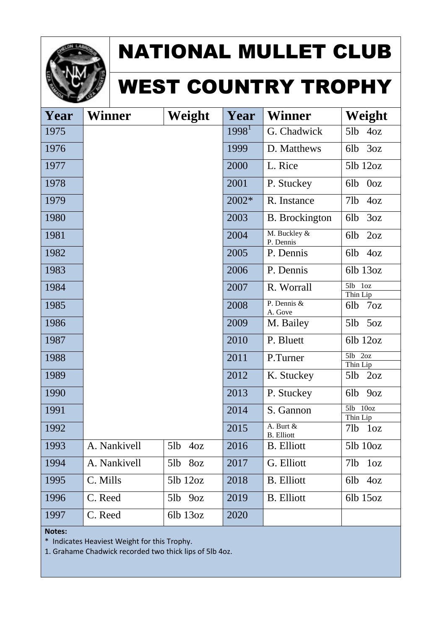

# WEST COUNTRY TROPHY

| Year | <b>Winner</b> | Weight        | Year              | <b>Winner</b>                  | Weight                              |
|------|---------------|---------------|-------------------|--------------------------------|-------------------------------------|
| 1975 |               |               | 1998 <sup>1</sup> | G. Chadwick                    | 5lb<br>4oz                          |
| 1976 |               |               | 1999              | D. Matthews                    | 3oz<br>6lb                          |
| 1977 |               |               | 2000              | L. Rice                        | 51b 12oz                            |
| 1978 |               |               | 2001              | P. Stuckey                     | 6lb<br>0 <sub>oz</sub>              |
| 1979 |               |               | 2002*             | R. Instance                    | 71b<br>4oz                          |
| 1980 |               |               | 2003              | <b>B.</b> Brockington          | 3oz<br>6lb                          |
| 1981 |               |               | 2004              | M. Buckley &<br>P. Dennis      | 2oz<br>6lb                          |
| 1982 |               |               | 2005              | P. Dennis                      | 40z<br>6lb                          |
| 1983 |               |               | 2006              | P. Dennis                      | 6lb 13oz                            |
| 1984 |               |               | 2007              | R. Worrall                     | $5lb$ $1oz$<br>Thin Lip             |
| 1985 |               |               | 2008              | P. Dennis &<br>A. Gove         | 7 <sub>oz</sub><br>6lb              |
| 1986 |               |               | 2009              | M. Bailey                      | 5lb<br>50z                          |
| 1987 |               |               | 2010              | P. Bluett                      | 6lb 12oz                            |
| 1988 |               |               | 2011              | P.Turner                       | $5lb$ $2oz$<br>Thin Lip             |
| 1989 |               |               | 2012              | K. Stuckey                     | 5lb<br>2oz                          |
| 1990 |               |               | 2013              | P. Stuckey                     | 6lb<br>90Z                          |
| 1991 |               |               | 2014              | S. Gannon                      | 10 <sub>oz</sub><br>5lb<br>Thin Lip |
| 1992 |               |               | 2015              | A. Burt &<br><b>B.</b> Elliott | 71 <sub>b</sub><br>1 <sub>oz</sub>  |
| 1993 | A. Nankivell  | $5lb$ $4oz$   | 2016              | <b>B.</b> Elliott              | $5lb$ $10oz$                        |
| 1994 | A. Nankivell  | 5lb<br>8oz    | 2017              | G. Elliott                     | 71b<br>1 <sub>oz</sub>              |
| 1995 | C. Mills      | $5lb$ $12oz$  | 2018              | <b>B.</b> Elliott              | 6lb<br>4oz                          |
| 1996 | C. Reed       | 5lb<br>9oz    | 2019              | <b>B.</b> Elliott              | $6lb$ 15 $oz$                       |
| 1997 | C. Reed       | $6lb$ 13 $oz$ | 2020              |                                |                                     |

#### **Notes:**

\* Indicates Heaviest Weight for this Trophy.

1. Grahame Chadwick recorded two thick lips of 5lb 4oz.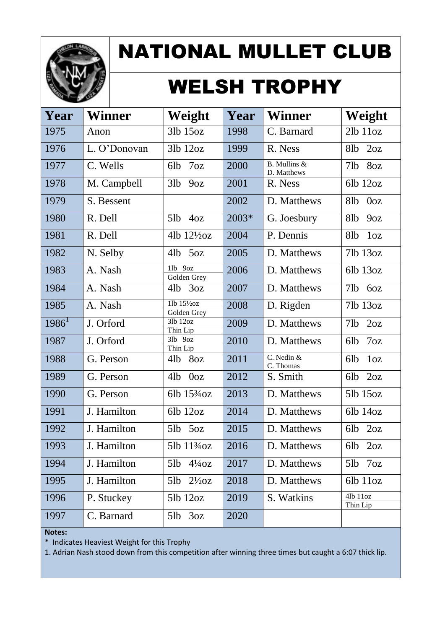

### WELSH TROPHY

| Year     | <b>Winner</b> | Weight                             | Year  | <b>Winner</b>               | Weight                              |
|----------|---------------|------------------------------------|-------|-----------------------------|-------------------------------------|
| 1975     | Anon          | 31b 15oz                           | 1998  | C. Barnard                  | $2lb$ $11oz$                        |
| 1976     | L. O'Donovan  | $3lb$ $12oz$                       | 1999  | R. Ness                     | 2oz<br>8 <sub>1</sub> b             |
| 1977     | C. Wells      | 6lb<br>7 <sub>oz</sub>             | 2000  | B. Mullins &<br>D. Matthews | 8oz<br>71 <sub>b</sub>              |
| 1978     | M. Campbell   | 3lb<br>90Z                         | 2001  | R. Ness                     | 6lb 12oz                            |
| 1979     | S. Bessent    |                                    | 2002  | D. Matthews                 | 8 <sub>1</sub> b<br>0 <sub>oz</sub> |
| 1980     | R. Dell       | 5lb<br>4oz                         | 2003* | G. Joesbury                 | 81 <sub>b</sub><br>90Z              |
| 1981     | R. Dell       | 4lb $12\frac{1}{2}$ oz             | 2004  | P. Dennis                   | 8 <sub>1</sub> b<br>1 <sub>oz</sub> |
| 1982     | N. Selby      | $4lb$ 5oz                          | 2005  | D. Matthews                 | 71b 13oz                            |
| 1983     | A. Nash       | 1lb 9oz<br>Golden Grey             | 2006  | D. Matthews                 | $6lb$ 13 $oz$                       |
| 1984     | A. Nash       | $4lb$ $3oz$                        | 2007  | D. Matthews                 | 71 <sub>b</sub><br>6oz              |
| 1985     | A. Nash       | 11b 151/20Z<br>Golden Grey         | 2008  | D. Rigden                   | 71b 13oz                            |
| $1986^1$ | J. Orford     | 3lb 12oz<br>Thin Lip               | 2009  | D. Matthews                 | 71 <sub>b</sub><br>2oz              |
| 1987     | J. Orford     | $3lb$ $9oz$<br>Thin Lip            | 2010  | D. Matthews                 | 7 <sub>oz</sub><br>6lb              |
| 1988     | G. Person     | 8oz<br>4lb                         | 2011  | C. Nedin &<br>C. Thomas     | 6lb<br>1 <sub>oz</sub>              |
| 1989     | G. Person     | 41 <sub>b</sub><br>0 <sub>oz</sub> | 2012  | S. Smith                    | 2oz<br>6lb                          |
| 1990     | G. Person     | 6lb $15\frac{3}{4}$ oz             | 2013  | D. Matthews                 | 51b 15oz                            |
| 1991     | J. Hamilton   | 6lb 12oz                           | 2014  | D. Matthews                 | 6lb 14oz                            |
| 1992     | J. Hamilton   | 5lb<br>50Z                         | 2015  | D. Matthews                 | 2oz<br>6lb                          |
| 1993     | J. Hamilton   | 5lb 11 <sup>3</sup> /40Z           | 2016  | D. Matthews                 | 6lb<br>2oz                          |
| 1994     | J. Hamilton   | 5lb<br>$4\frac{1}{4}$ OZ           | 2017  | D. Matthews                 | $5lb$ $7oz$                         |
| 1995     | J. Hamilton   | 51b<br>$2\frac{1}{2}$ oz           | 2018  | D. Matthews                 | $6lb$ $11oz$                        |
| 1996     | P. Stuckey    | $5lb$ $12oz$                       | 2019  | S. Watkins                  | 4lb 11oz<br>Thin Lip                |
| 1997     | C. Barnard    | $5lb$ $3oz$                        | 2020  |                             |                                     |

**Notes:**

\* Indicates Heaviest Weight for this Trophy

1. Adrian Nash stood down from this competition after winning three times but caught a 6:07 thick lip.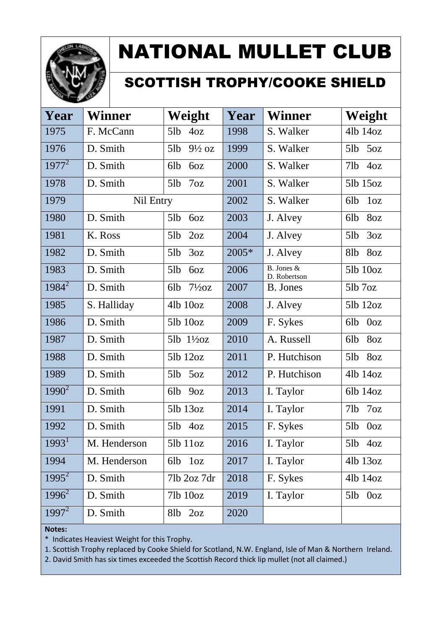

#### SCOTTISH TROPHY/COOKE SHIELD

| Year              | <b>Winner</b> | Weight                   | Year  | <b>Winner</b>              | Weight                 |
|-------------------|---------------|--------------------------|-------|----------------------------|------------------------|
| 1975              | F. McCann     | 5lb<br>40z               | 1998  | S. Walker                  | 41b 14oz               |
| 1976              | D. Smith      | $9\frac{1}{2}$ oz<br>5lb | 1999  | S. Walker                  | 5oz<br>5lb             |
| $1977^2$          | D. Smith      | 6lb<br>6oz               | 2000  | S. Walker                  | 4oz<br>71b             |
| 1978              | D. Smith      | 5lb<br>7 <sub>oz</sub>   | 2001  | S. Walker                  | 51b 15oz               |
| 1979              | Nil Entry     |                          | 2002  | S. Walker                  | 6lb<br>1 <sub>oz</sub> |
| 1980              | D. Smith      | 5lb<br>6oz               | 2003  | J. Alvey                   | 8oz<br>6lb             |
| 1981              | K. Ross       | 5lb<br>2oz               | 2004  | J. Alvey                   | 3oz<br>5lb             |
| 1982              | D. Smith      | 3oz<br>5lb               | 2005* | J. Alvey                   | 8oz<br>8lb             |
| 1983              | D. Smith      | 5lb<br>60Z               | 2006  | B. Jones &<br>D. Robertson | 51b 10oz               |
| $1984^2$          | D. Smith      | $7\frac{1}{2}$ oz<br>6lb | 2007  | B. Jones                   | $5lb$ $7oz$            |
| 1985              | S. Halliday   | $4lb$ $10oz$             | 2008  | J. Alvey                   | 51b 12oz               |
| 1986              | D. Smith      | $5lb$ $10oz$             | 2009  | F. Sykes                   | 0 <sub>oz</sub><br>6lb |
| 1987              | D. Smith      | $5lb$ $1\frac{1}{2}oz$   | 2010  | A. Russell                 | 6lb<br>8oz             |
| 1988              | D. Smith      | 51b 12oz                 | 2011  | P. Hutchison               | 5lb<br>8oz             |
| 1989              | D. Smith      | 5lb<br>5oz               | 2012  | P. Hutchison               | 41b 14oz               |
| $1990^2$          | D. Smith      | 6lb<br>90Z               | 2013  | I. Taylor                  | 6lb 14oz               |
| 1991              | D. Smith      | 51b 13oz                 | 2014  | I. Taylor                  | 7 <sub>oz</sub><br>7lb |
| 1992              | D. Smith      | $5lb$ $4oz$              | 2015  | F. Sykes                   | 5lb<br>0 <sub>oz</sub> |
| 1993 <sup>1</sup> | M. Henderson  | 5lb 11oz                 | 2016  | I. Taylor                  | 5lb 4oz                |
| 1994              | M. Henderson  | 1 <sub>oz</sub><br>6lb   | 2017  | I. Taylor                  | 41b 13oz               |
| $1995^2$          | D. Smith      | 71b 2oz 7dr              | 2018  | F. Sykes                   | 41b 14oz               |
| $1996^2$          | D. Smith      | 71b 10oz                 | 2019  | I. Taylor                  | $5lb$ $0oz$            |
| $1997^2$          | D. Smith      | 81b<br>2oz               | 2020  |                            |                        |

**Notes:**

\* Indicates Heaviest Weight for this Trophy.

1. Scottish Trophy replaced by Cooke Shield for Scotland, N.W. England, Isle of Man & Northern Ireland.

2. David Smith has six times exceeded the Scottish Record thick lip mullet (not all claimed.)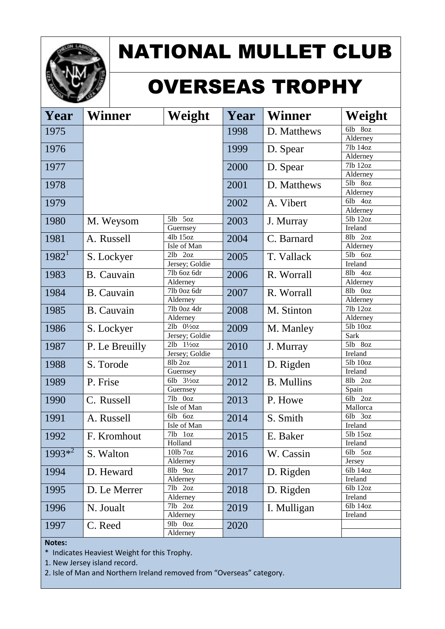

# OVERSEAS TROPHY

| Year      | <b>Winner</b>     | Weight                                   | Year | <b>Winner</b>     | Weight              |
|-----------|-------------------|------------------------------------------|------|-------------------|---------------------|
| 1975      |                   |                                          | 1998 | D. Matthews       | 6lb<br>8oz          |
|           |                   |                                          |      |                   | Alderney            |
| 1976      |                   |                                          | 1999 | D. Spear          | 7lb 14oz            |
|           |                   |                                          |      |                   | Alderney            |
| 1977      |                   |                                          | 2000 | D. Spear          | 7lb 12oz            |
|           |                   |                                          |      |                   | Alderney<br>5lb 8oz |
| 1978      |                   |                                          | 2001 | D. Matthews       | Alderney            |
|           |                   |                                          |      |                   | 6lb 4oz             |
| 1979      |                   |                                          | 2002 | A. Vibert         | Alderney            |
| 1980      |                   | $5lb$ $5oz$                              | 2003 |                   | 5lb 12oz            |
|           | M. Weysom         | Guernsey                                 |      | J. Murray         | Ireland             |
| 1981      | A. Russell        | 41b 15oz                                 | 2004 | C. Barnard        | 8lb<br>2oz          |
|           |                   | Isle of Man                              |      |                   | Alderney            |
| $1982^1$  | S. Lockyer        | $2lb$ $2oz$                              | 2005 | T. Vallack        | 5lb 6oz             |
|           |                   | Jersey; Goldie                           |      |                   | Ireland             |
| 1983      | B. Cauvain        | 7lb 6oz 6dr                              | 2006 | R. Worrall        | 8lb 4oz             |
|           |                   | Alderney                                 |      |                   | Alderney            |
| 1984      | <b>B.</b> Cauvain | $\overline{7}$ lb Ooz 6dr                | 2007 | R. Worrall        | 8lb Ooz             |
|           |                   | Alderney                                 |      |                   | Alderney            |
| 1985      | <b>B.</b> Cauvain | 7lb Ooz 4dr                              | 2008 | M. Stinton        | $7$ lb $12$ oz      |
|           |                   | Alderney                                 |      |                   | Alderney            |
| 1986      | S. Lockyer        | $2lb$ $0\frac{1}{2}oz$                   | 2009 | M. Manley         | $5$ lb $10$ oz      |
|           |                   | Jersey; Goldie<br>$2lb$ $1\frac{1}{2}oz$ |      |                   | Sark<br>5lb 8oz     |
| 1987      | P. Le Breuilly    | Jersey; Goldie                           | 2010 | J. Murray         | Ireland             |
|           |                   | $\overline{8}$ lb 2oz                    |      |                   | 5lb 10oz            |
| 1988      | S. Torode         | Guernsey                                 | 2011 | D. Rigden         | Ireland             |
| 1989      | P. Frise          | 6lb $3\frac{1}{2}$ oz                    | 2012 | <b>B.</b> Mullins | 8lb 2oz             |
|           |                   | Guernsey                                 |      |                   | Spain               |
| 1990      | C. Russell        | 7lb 0oz                                  | 2013 | P. Howe           | 6lb 2oz             |
|           |                   | Isle of Man                              |      |                   | Mallorca            |
| 1991      | A. Russell        | 6lb 6oz                                  | 2014 | S. Smith          | 6lb 3oz             |
|           |                   | Isle of Man                              |      |                   | Ireland             |
| 1992      | F. Kromhout       | 7lb 1oz                                  | 2015 | E. Baker          | 5lb 15oz            |
|           |                   | Holland                                  |      |                   | Ireland             |
| $1993*^2$ | S. Walton         | $10$ lb $7$ oz                           | 2016 | W. Cassin         | 6lb 5oz             |
|           |                   | Alderney                                 |      |                   | Jersey              |
| 1994      | D. Heward         | 8lb 9oz                                  | 2017 | D. Rigden         | 6lb 14oz<br>Ireland |
|           |                   | Alderney<br>$7lb$ 2oz                    |      |                   | 6lb 12oz            |
| 1995      | D. Le Merrer      | Alderney                                 | 2018 | D. Rigden         | Ireland             |
| 1996      | N. Joualt         | 7lb 2oz                                  | 2019 | I. Mulligan       | 6lb 14oz            |
|           |                   | Alderney                                 |      |                   | Ireland             |
| 1997      | C. Reed           | $9lb$ $0oz$                              | 2020 |                   |                     |
|           |                   | Alderney                                 |      |                   |                     |

#### **Notes:**

\* Indicates Heaviest Weight for this Trophy.

1. New Jersey island record.

2. Isle of Man and Northern Ireland removed from "Overseas" category.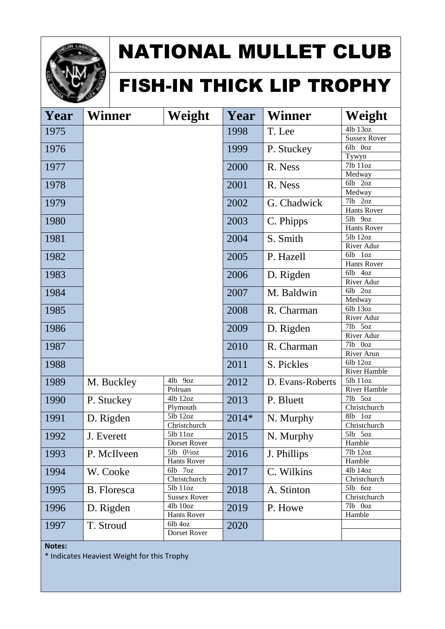

#### FISH-IN THICK LIP TROPHY

| Year | <b>Winner</b>      | Weight                 | Year    | <b>Winner</b>    | Weight                 |
|------|--------------------|------------------------|---------|------------------|------------------------|
| 1975 |                    |                        | 1998    | T. Lee           | 4lb 13oz               |
|      |                    |                        |         |                  | <b>Sussex Rover</b>    |
| 1976 |                    |                        | 1999    | P. Stuckey       | 6lb Ooz                |
|      |                    |                        |         |                  | Tywyn                  |
| 1977 |                    |                        | 2000    | R. Ness          | 7lb 11oz               |
|      |                    |                        |         |                  | Medway                 |
| 1978 |                    |                        | 2001    | R. Ness          | 6lb 2oz                |
|      |                    |                        |         |                  | Medway                 |
| 1979 |                    |                        | 2002    | G. Chadwick      | 7lb 2oz                |
|      |                    |                        |         |                  | Hants Rover            |
| 1980 |                    |                        | 2003    | C. Phipps        | 5lb<br>90z             |
|      |                    |                        |         |                  | Hants Rover            |
| 1981 |                    |                        | 2004    | S. Smith         | $\overline{5}$ lb 12oz |
|      |                    |                        |         |                  | River Adur             |
| 1982 |                    |                        | 2005    | P. Hazell        | 6lb<br>1 <sub>oz</sub> |
|      |                    |                        |         |                  | Hants Rover            |
| 1983 |                    |                        | 2006    | D. Rigden        | 6lb<br>40z             |
|      |                    |                        |         |                  | River Adur             |
| 1984 |                    |                        | 2007    | M. Baldwin       | 6lb<br>2oz             |
|      |                    |                        |         |                  | Medway                 |
| 1985 |                    |                        | 2008    | R. Charman       | 6lb 13oz               |
|      |                    |                        |         |                  | River Adur             |
| 1986 |                    |                        | 2009    | D. Rigden        | 7lb<br>50z             |
|      |                    |                        |         |                  | River Adur             |
| 1987 |                    |                        | 2010    | R. Charman       | 7lb 0oz                |
|      |                    |                        |         |                  | River Arun             |
| 1988 |                    |                        | 2011    | S. Pickles       | 6lb 12oz               |
|      |                    |                        |         |                  | River Hamble           |
| 1989 | M. Buckley         | 4lb 9oz                | 2012    | D. Evans-Roberts | 5lb 11oz               |
|      |                    | Polruan                |         |                  | River Hamble           |
| 1990 | P. Stuckey         | 4lb 12oz               | 2013    | P. Bluett        | 7lb 5oz                |
|      |                    | Plymouth               |         |                  | Christchurch           |
| 1991 | D. Rigden          | 5lb 12oz               | $2014*$ | N. Murphy        | 8lb<br>1 <sub>oz</sub> |
|      |                    | Christchurch           |         |                  | Christchurch           |
| 1992 | J. Everett         | 5lb 11oz               | 2015    | N. Murphy        | 5lb 5oz                |
|      |                    | Dorset Rover           |         |                  | Hamble                 |
| 1993 | P. McIlveen        | $5lb$ $0\frac{1}{2}oz$ | 2016    | J. Phillips      | 7lb 12oz               |
|      |                    | <b>Hants Rover</b>     |         |                  | Hamble                 |
| 1994 | W. Cooke           | 6lb 7oz                | 2017    | C. Wilkins       | 4lb 14oz               |
|      |                    | Christchurch           |         |                  | Christchurch           |
| 1995 | <b>B.</b> Floresca | 5lb 11oz               | 2018    | A. Stinton       | 5lb 6oz                |
|      |                    | <b>Sussex Rover</b>    |         |                  | Christchurch           |
| 1996 | D. Rigden          | 4lb 10oz               | 2019    | P. Howe          | 7lb 0oz                |
|      |                    | <b>Hants Rover</b>     |         |                  | Hamble                 |
| 1997 | T. Stroud          | 6lb 4oz                | 2020    |                  |                        |
|      |                    | Dorset Rover           |         |                  |                        |

**Notes:**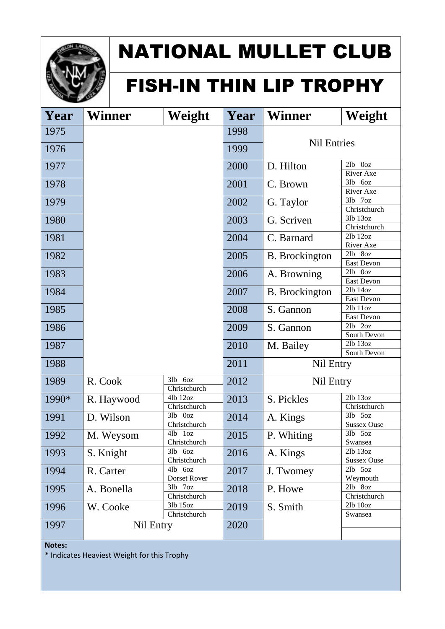

#### FISH-IN THIN LIP TROPHY

| Year  | <b>Winner</b> | Weight                    | Year | <b>Winner</b>         | Weight                                 |
|-------|---------------|---------------------------|------|-----------------------|----------------------------------------|
| 1975  |               |                           | 1998 |                       |                                        |
| 1976  |               |                           | 1999 | <b>Nil Entries</b>    |                                        |
| 1977  |               |                           | 2000 | D. Hilton             | 2lb Ooz<br>River Axe                   |
| 1978  |               |                           | 2001 | C. Brown              | 3lb 6oz<br>River Axe                   |
| 1979  |               |                           | 2002 | G. Taylor             | 3lb<br>7 <sub>oz</sub><br>Christchurch |
| 1980  |               |                           | 2003 | G. Scriven            | 3lb 13oz<br>Christchurch               |
| 1981  |               |                           | 2004 | C. Barnard            | 2lb 12oz<br>River Axe                  |
| 1982  |               |                           | 2005 | <b>B.</b> Brockington | 2lb 8oz<br>East Devon                  |
| 1983  |               |                           | 2006 | A. Browning           | $2lb$ $0oz$<br>East Devon              |
| 1984  |               |                           | 2007 | <b>B.</b> Brockington | 2lb 14oz<br>East Devon                 |
| 1985  |               |                           | 2008 | S. Gannon             | 2lb 11oz<br>East Devon                 |
| 1986  |               |                           | 2009 | S. Gannon             | $2lb$ $2oz$<br>South Devon             |
| 1987  |               |                           | 2010 | M. Bailey             | 2lb 13oz<br>South Devon                |
| 1988  |               |                           | 2011 | Nil Entry             |                                        |
| 1989  | R. Cook       | $3lb$ 6oz<br>Christchurch | 2012 | Nil Entry             |                                        |
| 1990* | R. Haywood    | 4lb 12oz<br>Christchurch  | 2013 | S. Pickles            | 2lb 13oz<br>Christchurch               |
| 1991  | D. Wilson     | 3lb Ooz<br>Christchurch   | 2014 | A. Kings              | 3lb 5oz<br><b>Sussex Ouse</b>          |
| 1992  | M. Weysom     | 4lb 1oz<br>Christchurch   | 2015 | P. Whiting            | 3lb 5oz<br>Swansea                     |
| 1993  | S. Knight     | 3lb 6oz<br>Christchurch   | 2016 | A. Kings              | 2lb 13oz<br><b>Sussex Ouse</b>         |
| 1994  | R. Carter     | 4lb 6oz<br>Dorset Rover   | 2017 | J. Twomey             | 2lb 5oz<br>Weymouth                    |
| 1995  | A. Bonella    | 3lb 7oz<br>Christchurch   | 2018 | P. Howe               | 2lb 8oz<br>Christchurch                |
| 1996  | W. Cooke      | 3lb 15oz<br>Christchurch  | 2019 | S. Smith              | 2lb 10oz<br>Swansea                    |
| 1997  | Nil Entry     |                           | 2020 |                       |                                        |

**Notes:**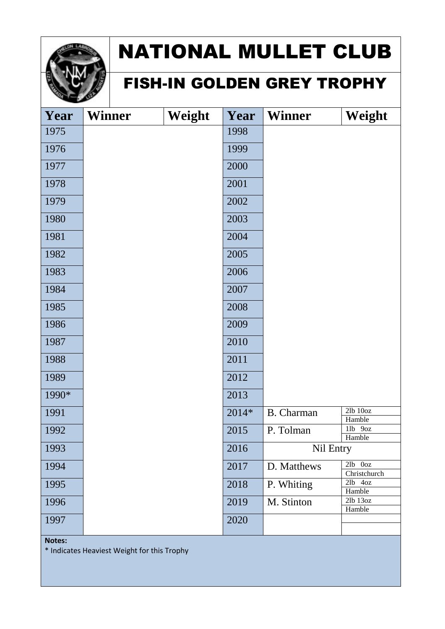

#### FISH-IN GOLDEN GREY TROPHY

| Year  | <b>Winner</b> | Weight | Year  | <b>Winner</b>     | Weight                      |
|-------|---------------|--------|-------|-------------------|-----------------------------|
| 1975  |               |        | 1998  |                   |                             |
| 1976  |               |        | 1999  |                   |                             |
| 1977  |               |        | 2000  |                   |                             |
| 1978  |               |        | 2001  |                   |                             |
| 1979  |               |        | 2002  |                   |                             |
| 1980  |               |        | 2003  |                   |                             |
| 1981  |               |        | 2004  |                   |                             |
| 1982  |               |        | 2005  |                   |                             |
| 1983  |               |        | 2006  |                   |                             |
| 1984  |               |        | 2007  |                   |                             |
| 1985  |               |        | 2008  |                   |                             |
| 1986  |               |        | 2009  |                   |                             |
| 1987  |               |        | 2010  |                   |                             |
| 1988  |               |        | 2011  |                   |                             |
| 1989  |               |        | 2012  |                   |                             |
| 1990* |               |        | 2013  |                   |                             |
| 1991  |               |        | 2014* | <b>B.</b> Charman | $2lb$ $10oz$<br>Hamble      |
| 1992  |               |        | 2015  | P. Tolman         | 1lb 9oz<br>Hamble           |
| 1993  |               |        | 2016  | Nil Entry         |                             |
| 1994  |               |        | 2017  | D. Matthews       | $2lb$ $0oz$<br>Christchurch |
| 1995  |               |        | 2018  | P. Whiting        | $2lb$ 4oz<br>Hamble         |
| 1996  |               |        | 2019  | M. Stinton        | 2lb 13oz<br>Hamble          |
| 1997  |               |        | 2020  |                   |                             |
|       |               |        |       |                   |                             |

**Notes:**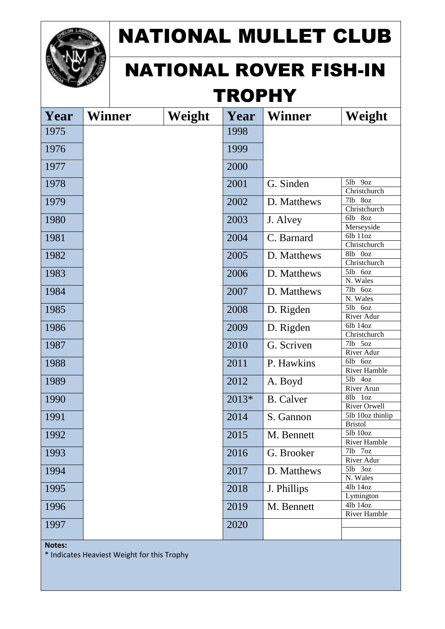

#### NATIONAL ROVER FISH-IN **TROPHY**

| Year | <b>Winner</b> | Weight | Year  | <b>Winner</b>    | Weight                             |
|------|---------------|--------|-------|------------------|------------------------------------|
| 1975 |               |        | 1998  |                  |                                    |
| 1976 |               |        | 1999  |                  |                                    |
|      |               |        |       |                  |                                    |
| 1977 |               |        | 2000  |                  |                                    |
| 1978 |               |        | 2001  | G. Sinden        | 5lb 9oz                            |
|      |               |        |       |                  | Christchurch                       |
| 1979 |               |        | 2002  | D. Matthews      | 7lb 8oz                            |
|      |               |        |       |                  | Christchurch                       |
| 1980 |               |        | 2003  | J. Alvey         | 6lb 8oz                            |
|      |               |        |       |                  | Merseyside<br>6lb 11oz             |
| 1981 |               |        | 2004  | C. Barnard       | Christchurch                       |
|      |               |        |       |                  | 8lb 0oz                            |
| 1982 |               |        | 2005  | D. Matthews      | Christchurch                       |
| 1983 |               |        | 2006  | D. Matthews      | 5lb 6oz                            |
|      |               |        |       |                  | N. Wales                           |
| 1984 |               |        | 2007  | D. Matthews      | 7lb<br>6oz                         |
|      |               |        |       |                  | N. Wales                           |
| 1985 |               |        | 2008  | D. Rigden        | 5lb<br>6oz                         |
|      |               |        |       |                  | River Adur                         |
| 1986 |               |        | 2009  | D. Rigden        | 6lb 14oz                           |
|      |               |        |       |                  | Christchurch                       |
| 1987 |               |        | 2010  | G. Scriven       | 7lb<br>5oz                         |
|      |               |        |       |                  | River Adur                         |
| 1988 |               |        | 2011  | P. Hawkins       | 6lb<br>6oz                         |
|      |               |        |       |                  | River Hamble                       |
| 1989 |               |        | 2012  | A. Boyd          | $5lb$ $4oz$<br>River Arun          |
|      |               |        |       |                  | 8lb<br>1 <sub>oz</sub>             |
| 1990 |               |        | 2013* | <b>B.</b> Calver | River Orwell                       |
| 1991 |               |        | 2014  | S. Gannon        | 5lb 10oz thinlip                   |
|      |               |        |       |                  | <b>Bristol</b>                     |
| 1992 |               |        | 2015  | M. Bennett       | 5lb 10oz                           |
|      |               |        |       |                  | River Hamble                       |
| 1993 |               |        | 2016  | G. Brooker       | 71 <sub>b</sub><br>7 <sub>oz</sub> |
|      |               |        |       |                  | River Adur                         |
| 1994 |               |        | 2017  | D. Matthews      | 5lb 3oz                            |
|      |               |        |       |                  | N. Wales                           |
| 1995 |               |        | 2018  | J. Phillips      | 4lb 14oz                           |
|      |               |        |       |                  | Lymington                          |
| 1996 |               |        | 2019  | M. Bennett       | 41b 14oz                           |
|      |               |        |       |                  | River Hamble                       |
| 1997 |               |        | 2020  |                  |                                    |
|      |               |        |       |                  |                                    |

**Notes:**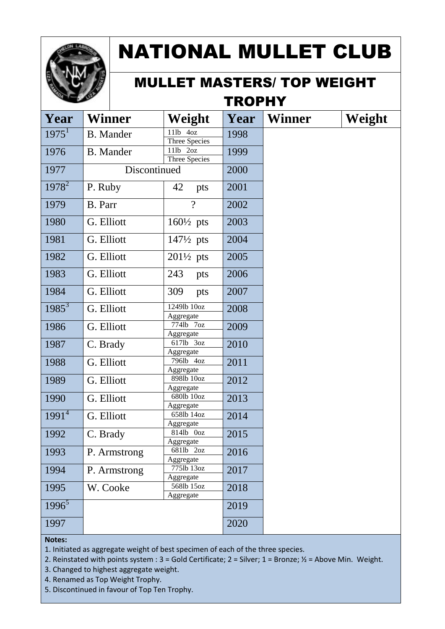

#### MULLET MASTERS/ TOP WEIGHT **TROPHY**

| Year     | Winner           | Weight                    | Year | Winner | Weight |
|----------|------------------|---------------------------|------|--------|--------|
| $1975^1$ | <b>B.</b> Mander | 11lb 4oz                  | 1998 |        |        |
|          |                  | <b>Three Species</b>      |      |        |        |
| 1976     | <b>B.</b> Mander | 11lb 2oz<br>Three Species | 1999 |        |        |
| 1977     | Discontinued     |                           | 2000 |        |        |
| $1978^2$ |                  |                           |      |        |        |
|          | P. Ruby          | 42<br>pts                 | 2001 |        |        |
| 1979     | B. Parr          | $\gamma$                  | 2002 |        |        |
| 1980     | G. Elliott       | $160\frac{1}{2}$ pts      | 2003 |        |        |
| 1981     | G. Elliott       | $147\frac{1}{2}$ pts      | 2004 |        |        |
| 1982     | G. Elliott       | $201\frac{1}{2}$ pts      | 2005 |        |        |
| 1983     | G. Elliott       | 243<br>pts                | 2006 |        |        |
| 1984     | G. Elliott       | 309<br>pts                | 2007 |        |        |
| $1985^3$ | G. Elliott       | 1249lb 10oz<br>Aggregate  | 2008 |        |        |
| 1986     | G. Elliott       | 774lb 7oz<br>Aggregate    | 2009 |        |        |
| 1987     | C. Brady         | 617lb 3oz<br>Aggregate    | 2010 |        |        |
| 1988     | G. Elliott       | 796lb 4oz<br>Aggregate    | 2011 |        |        |
| 1989     | G. Elliott       | 898lb 10oz<br>Aggregate   | 2012 |        |        |
| 1990     | G. Elliott       | 680lb 10oz<br>Aggregate   | 2013 |        |        |
| $1991^4$ | G. Elliott       | 658lb 14oz<br>Aggregate   | 2014 |        |        |
| 1992     | C. Brady         | 814lb 0oz                 | 2015 |        |        |
| 1993     | P. Armstrong     | Aggregate<br>681lb 2oz    | 2016 |        |        |
|          |                  | Aggregate                 |      |        |        |
| 1994     | P. Armstrong     | 775lb 13oz                | 2017 |        |        |
|          |                  | Aggregate<br>568lb 15oz   |      |        |        |
| 1995     | W. Cooke         | Aggregate                 | 2018 |        |        |
| $1996^5$ |                  |                           | 2019 |        |        |
| 1997     |                  |                           | 2020 |        |        |

#### **Notes:**

1. Initiated as aggregate weight of best specimen of each of the three species.

2. Reinstated with points system :  $3 =$  Gold Certificate;  $2 =$  Silver;  $1 =$  Bronze;  $\frac{1}{2} =$  Above Min. Weight.

3. Changed to highest aggregate weight.

4. Renamed as Top Weight Trophy.

5. Discontinued in favour of Top Ten Trophy.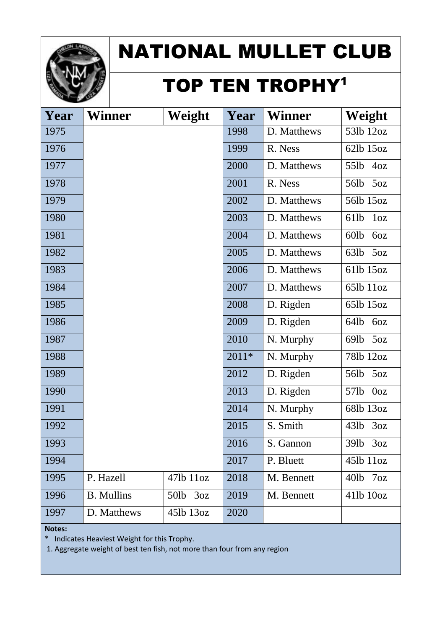

#### TOP TEN TROPHY<sup>1</sup>

| Year | Winner            | Weight      | Year  | <b>Winner</b> | Weight                              |
|------|-------------------|-------------|-------|---------------|-------------------------------------|
| 1975 |                   |             | 1998  | D. Matthews   | 53lb 12oz                           |
| 1976 |                   |             | 1999  | R. Ness       | 62lb 15oz                           |
| 1977 |                   |             | 2000  | D. Matthews   | 55lb<br>40z                         |
| 1978 |                   |             | 2001  | R. Ness       | 56lb<br>50Z                         |
| 1979 |                   |             | 2002  | D. Matthews   | 56lb 15oz                           |
| 1980 |                   |             | 2003  | D. Matthews   | 61 <sub>lb</sub><br>1 <sub>oz</sub> |
| 1981 |                   |             | 2004  | D. Matthews   | 60lb<br>6oz                         |
| 1982 |                   |             | 2005  | D. Matthews   | 63lb<br>50Z                         |
| 1983 |                   |             | 2006  | D. Matthews   | 61lb 15oz                           |
| 1984 |                   |             | 2007  | D. Matthews   | 65lb 11oz                           |
| 1985 |                   |             | 2008  | D. Rigden     | 65lb 15oz                           |
| 1986 |                   |             | 2009  | D. Rigden     | 64lb<br>6oz                         |
| 1987 |                   |             | 2010  | N. Murphy     | 69lb<br>50Z                         |
| 1988 |                   |             | 2011* | N. Murphy     | 781b 12oz                           |
| 1989 |                   |             | 2012  | D. Rigden     | 56lb<br>50Z                         |
| 1990 |                   |             | 2013  | D. Rigden     | 57lb<br>0 <sub>oz</sub>             |
| 1991 |                   |             | 2014  | N. Murphy     | 68lb 13oz                           |
| 1992 |                   |             | 2015  | S. Smith      | 43lb<br>3oz                         |
| 1993 |                   |             | 2016  | S. Gannon     | 39lb<br>3oz                         |
| 1994 |                   |             | 2017  | P. Bluett     | 45lb 11oz                           |
| 1995 | P. Hazell         | 47lb 11oz   | 2018  | M. Bennett    | 7 <sub>oz</sub><br>$40$ lb          |
| 1996 | <b>B.</b> Mullins | 50lb<br>3oz | 2019  | M. Bennett    | 41lb 10oz                           |
| 1997 | D. Matthews       | 451b 13oz   | 2020  |               |                                     |

**Notes:**

\* Indicates Heaviest Weight for this Trophy.

1. Aggregate weight of best ten fish, not more than four from any region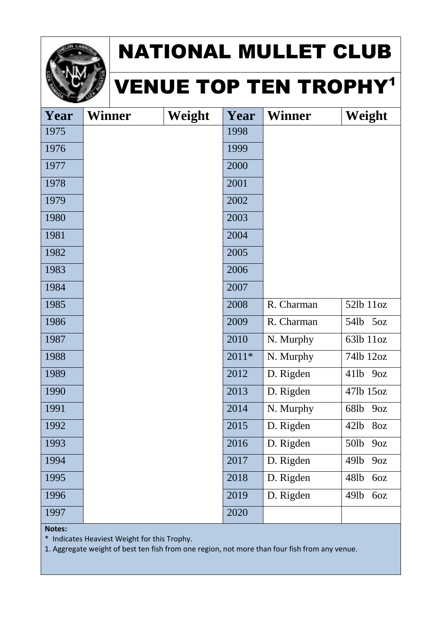

#### VENUE TOP TEN TROPHY<sup>1</sup>

| Year | <b>Winner</b> | Weight | Year  | <b>Winner</b> | Weight                  |
|------|---------------|--------|-------|---------------|-------------------------|
| 1975 |               |        | 1998  |               |                         |
| 1976 |               |        | 1999  |               |                         |
| 1977 |               |        | 2000  |               |                         |
| 1978 |               |        | 2001  |               |                         |
| 1979 |               |        | 2002  |               |                         |
| 1980 |               |        | 2003  |               |                         |
| 1981 |               |        | 2004  |               |                         |
| 1982 |               |        | 2005  |               |                         |
| 1983 |               |        | 2006  |               |                         |
| 1984 |               |        | 2007  |               |                         |
| 1985 |               |        | 2008  | R. Charman    | 52lb 11oz               |
| 1986 |               |        | 2009  | R. Charman    | 54lb<br>50z             |
| 1987 |               |        | 2010  | N. Murphy     | 63lb 11oz               |
| 1988 |               |        | 2011* | N. Murphy     | 74lb 12oz               |
| 1989 |               |        | 2012  | D. Rigden     | 411b<br>90Z             |
| 1990 |               |        | 2013  | D. Rigden     | 47lb 15oz               |
| 1991 |               |        | 2014  | N. Murphy     | 68lb<br>90Z             |
| 1992 |               |        | 2015  | D. Rigden     | 421 <sub>b</sub><br>8oz |
| 1993 |               |        | 2016  | D. Rigden     | 50lb<br>9oz             |
| 1994 |               |        | 2017  | D. Rigden     | 49lb<br>90Z             |
| 1995 |               |        | 2018  | D. Rigden     | 48lb<br>6oz             |
| 1996 |               |        | 2019  | D. Rigden     | 49lb<br>6oz             |
| 1997 |               |        | 2020  |               |                         |

**Notes:**

\* Indicates Heaviest Weight for this Trophy.

1. Aggregate weight of best ten fish from one region, not more than four fish from any venue.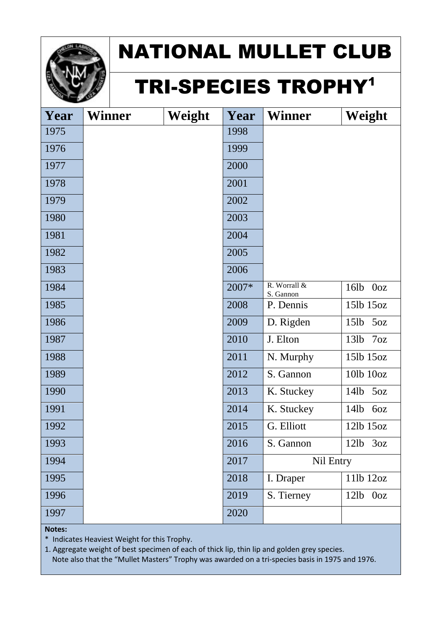

### TRI-SPECIES TROPHY<sup>1</sup>

| Year | Winner | Weight | Year  | <b>Winner</b> | Weight                  |
|------|--------|--------|-------|---------------|-------------------------|
| 1975 |        |        | 1998  |               |                         |
| 1976 |        |        | 1999  |               |                         |
| 1977 |        |        | 2000  |               |                         |
| 1978 |        |        | 2001  |               |                         |
| 1979 |        |        | 2002  |               |                         |
| 1980 |        |        | 2003  |               |                         |
| 1981 |        |        | 2004  |               |                         |
| 1982 |        |        | 2005  |               |                         |
| 1983 |        |        | 2006  |               |                         |
| 1984 |        |        | 2007* | R. Worrall &  | 16lb<br>0 <sub>oz</sub> |
|      |        |        |       | S. Gannon     |                         |
| 1985 |        |        | 2008  | P. Dennis     | 15lb 15oz               |
| 1986 |        |        | 2009  | D. Rigden     | 15lb<br>50Z             |
| 1987 |        |        | 2010  | J. Elton      | 13lb<br>7 <sub>oz</sub> |
| 1988 |        |        | 2011  | N. Murphy     | 15lb 15oz               |
| 1989 |        |        | 2012  | S. Gannon     | 10lb 10oz               |
| 1990 |        |        | 2013  | K. Stuckey    | 14lb<br>50z             |
| 1991 |        |        | 2014  | K. Stuckey    | 14lb<br>6oz             |
| 1992 |        |        | 2015  | G. Elliott    | 12lb 15oz               |
| 1993 |        |        | 2016  | S. Gannon     | 12lb<br>3oz             |
| 1994 |        |        | 2017  | Nil Entry     |                         |
| 1995 |        |        | 2018  | I. Draper     | 11lb 12oz               |
| 1996 |        |        | 2019  | S. Tierney    | $12lb$ $0oz$            |
| 1997 |        |        | 2020  |               |                         |

#### **Notes:**

\* Indicates Heaviest Weight for this Trophy.

1. Aggregate weight of best specimen of each of thick lip, thin lip and golden grey species. Note also that the "Mullet Masters" Trophy was awarded on a tri-species basis in 1975 and 1976.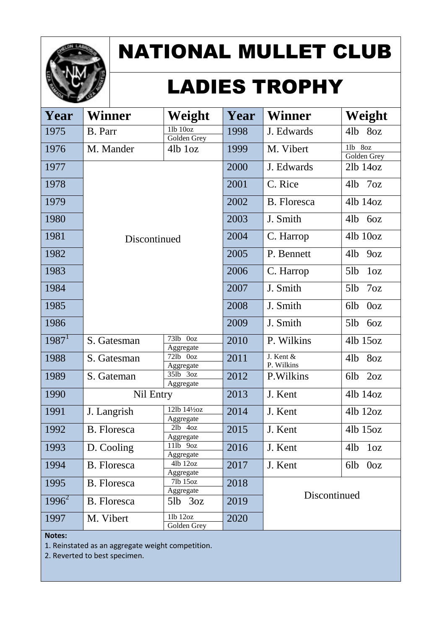

# LADIES TROPHY

| Year     | Winner             | Weight                      | Year | <b>Winner</b>           | Weight                    |
|----------|--------------------|-----------------------------|------|-------------------------|---------------------------|
| 1975     | B. Parr            | $11b$ $10oz$<br>Golden Grey | 1998 | J. Edwards              | 4lb 8oz                   |
| 1976     | M. Mander          | $4lb$ $1oz$                 | 1999 | M. Vibert               | 1lb 8oz<br>Golden Grey    |
| 1977     |                    |                             | 2000 | J. Edwards              | $2lb$ 14 $oz$             |
| 1978     |                    |                             | 2001 | C. Rice                 | $4lb$ 7 $oz$              |
| 1979     |                    |                             | 2002 | B. Floresca             | 41b 14oz                  |
| 1980     |                    |                             | 2003 | J. Smith                | 4lb<br>6oz                |
| 1981     |                    | Discontinued                |      | C. Harrop               | 41b 10oz                  |
| 1982     |                    |                             | 2005 | P. Bennett              | 4lb<br>90z                |
| 1983     |                    |                             | 2006 | C. Harrop               | 5lb<br>1 <sub>oz</sub>    |
| 1984     |                    |                             | 2007 | J. Smith                | 7 <sub>oz</sub><br>$5$ lb |
| 1985     |                    |                             | 2008 | J. Smith                | 0 <sub>oz</sub><br>6lb    |
| 1986     |                    |                             | 2009 | J. Smith                | 5lb<br>60Z                |
| $1987^1$ | S. Gatesman        | 73lb Ooz<br>Aggregate       | 2010 | P. Wilkins              | 41b 15oz                  |
| 1988     | S. Gatesman        | 72lb Ooz<br>Aggregate       | 2011 | J. Kent &<br>P. Wilkins | 4lb<br>8oz                |
| 1989     | S. Gateman         | 351b 3oz<br>Aggregate       | 2012 | P. Wilkins              | 6lb<br>2oz                |
| 1990     | Nil Entry          |                             | 2013 | J. Kent                 | 41b 14oz                  |
| 1991     | J. Langrish        | 12lb 141/20Z<br>Aggregate   | 2014 | J. Kent                 | 41b 12oz                  |
| 1992     | <b>B.</b> Floresca | $2lb$ $4oz$<br>Aggregate    | 2015 | J. Kent                 | 4lb 15oz                  |
| 1993     | D. Cooling         | 11lb 9oz<br>Aggregate       | 2016 | J. Kent                 | 4lb<br>1 <sub>oz</sub>    |
| 1994     | B. Floresca        | 4lb 12oz<br>Aggregate       | 2017 | J. Kent                 | 0 <sub>oz</sub><br>6lb    |
| 1995     | B. Floresca        | 7lb 15oz<br>Aggregate       | 2018 |                         |                           |
| $1996^2$ | B. Floresca        | $5lb$ $3oz$                 | 2019 | Discontinued            |                           |
| 1997     | M. Vibert          | $11b$ 12oz<br>Golden Grey   | 2020 |                         |                           |

#### **Notes:**

1. Reinstated as an aggregate weight competition.

2. Reverted to best specimen.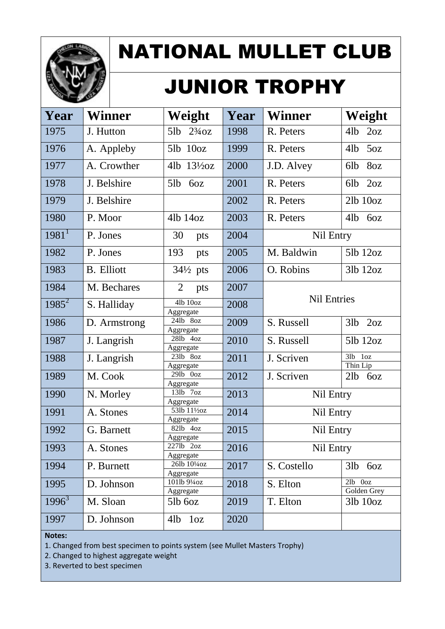

## JUNIOR TROPHY

| Year                | Winner            | Weight                    | Year | <b>Winner</b>      | Weight                             |
|---------------------|-------------------|---------------------------|------|--------------------|------------------------------------|
| 1975                | J. Hutton         | $2\frac{3}{4}$ oz<br>5lb  | 1998 | R. Peters          | 4lb<br>2oz                         |
| 1976                | A. Appleby        | $5lb$ $10oz$              | 1999 | R. Peters          | 4lb<br>5oz                         |
| 1977                | A. Crowther       | 4lb $13\frac{1}{2}$ oz    | 2000 | J.D. Alvey         | 8oz<br>6lb                         |
| 1978                | J. Belshire       | 5lb<br>6oz                | 2001 | R. Peters          | 2oz<br>6lb                         |
| 1979                | J. Belshire       |                           | 2002 | R. Peters          | $2lb$ $10oz$                       |
| 1980                | P. Moor           | 41b 14oz                  | 2003 | R. Peters          | 41 <sub>b</sub><br>6oz             |
| $1981$ <sup>1</sup> | P. Jones          | 30<br>pts                 | 2004 | Nil Entry          |                                    |
| 1982                | P. Jones          | 193<br>pts                | 2005 | M. Baldwin         | 51b 12oz                           |
| 1983                | <b>B.</b> Elliott | $34\frac{1}{2}$ pts       | 2006 | O. Robins          | 31b 12oz                           |
| 1984                | M. Bechares       | 2<br>pts                  | 2007 | <b>Nil Entries</b> |                                    |
| $1985^2$            | S. Halliday       | 4lb 10oz<br>Aggregate     | 2008 |                    |                                    |
| 1986                | D. Armstrong      | 24lb 8oz<br>Aggregate     | 2009 | S. Russell         | 2oz<br>3lb                         |
| 1987                | J. Langrish       | 28lb 4oz<br>Aggregate     | 2010 | S. Russell         | 51b 12oz                           |
| 1988                | J. Langrish       | 231b 8oz<br>Aggregate     | 2011 | J. Scriven         | 3lb<br>1 <sub>oz</sub><br>Thin Lip |
| 1989                | M. Cook           | 29lb 0oz<br>Aggregate     | 2012 | J. Scriven         | 21 <sub>b</sub><br>6oz             |
| 1990                | N. Morley         | 131b 7oz<br>Aggregate     | 2013 | Nil Entry          |                                    |
| 1991                | A. Stones         | 53lb 111/20Z              | 2014 | Nil Entry          |                                    |
| 1992                | G. Barnett        | Aggregate<br>82lb 4oz     | 2015 | Nil Entry          |                                    |
| 1993                | A. Stones         | Aggregate<br>2271b 2oz    | 2016 | Nil Entry          |                                    |
| 1994                | P. Burnett        | Aggregate<br>26lb 101/40z | 2017 | S. Costello        | 3lb<br>6oz                         |
| 1995                | D. Johnson        | Aggregate<br>1011b 91/40z | 2018 | S. Elton           | $2lb$ $0oz$                        |
| $1996^3$            | M. Sloan          | Aggregate<br>$5lb$ 60 $z$ | 2019 | T. Elton           | Golden Grey<br>$3lb$ $10oz$        |
| 1997                | D. Johnson        | 4lb 1oz                   | 2020 |                    |                                    |
|                     |                   |                           |      |                    |                                    |

#### **Notes:**

1. Changed from best specimen to points system (see Mullet Masters Trophy)

2. Changed to highest aggregate weight

3. Reverted to best specimen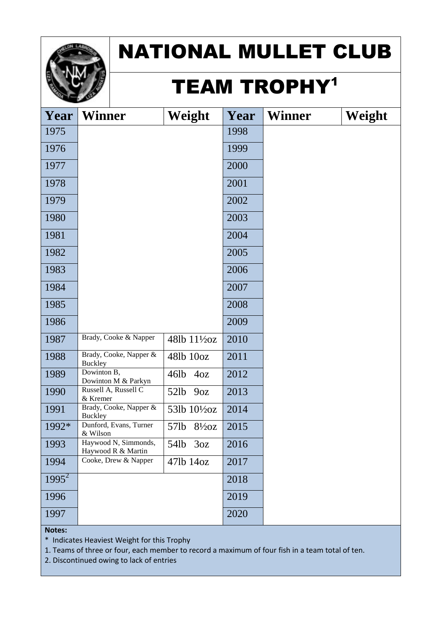

#### **TEAM TROPHY<sup>1</sup>**

| Year     | <b>Winner</b>                              | Weight                    | Year | <b>Winner</b> | Weight |
|----------|--------------------------------------------|---------------------------|------|---------------|--------|
| 1975     |                                            |                           | 1998 |               |        |
| 1976     |                                            |                           | 1999 |               |        |
| 1977     |                                            |                           | 2000 |               |        |
| 1978     |                                            |                           | 2001 |               |        |
| 1979     |                                            |                           | 2002 |               |        |
| 1980     |                                            |                           | 2003 |               |        |
| 1981     |                                            |                           | 2004 |               |        |
| 1982     |                                            |                           | 2005 |               |        |
| 1983     |                                            |                           | 2006 |               |        |
| 1984     |                                            |                           | 2007 |               |        |
| 1985     |                                            |                           | 2008 |               |        |
| 1986     |                                            |                           | 2009 |               |        |
| 1987     | Brady, Cooke & Napper                      | 48lb 11½oz                | 2010 |               |        |
| 1988     | Brady, Cooke, Napper &<br><b>Buckley</b>   | 481b 10oz                 | 2011 |               |        |
| 1989     | Dowinton B,<br>Dowinton M & Parkyn         | 46lb<br>40z               | 2012 |               |        |
| 1990     | Russell A, Russell C<br>& Kremer           | 52lb<br>90Z               | 2013 |               |        |
| 1991     | Brady, Cooke, Napper &<br><b>Buckley</b>   | 53lb 101/20Z              | 2014 |               |        |
| 1992*    | Dunford, Evans, Turner<br>& Wilson         | 57lb<br>$8\frac{1}{2}$ oz | 2015 |               |        |
| 1993     | Haywood N, Simmonds,<br>Haywood R & Martin | 54lb 3oz                  | 2016 |               |        |
| 1994     | Cooke, Drew & Napper                       | 47lb 14oz                 | 2017 |               |        |
| $1995^2$ |                                            |                           | 2018 |               |        |
| 1996     |                                            |                           | 2019 |               |        |
| 1997     |                                            |                           | 2020 |               |        |

**Notes:**

\* Indicates Heaviest Weight for this Trophy

1. Teams of three or four, each member to record a maximum of four fish in a team total of ten.

2. Discontinued owing to lack of entries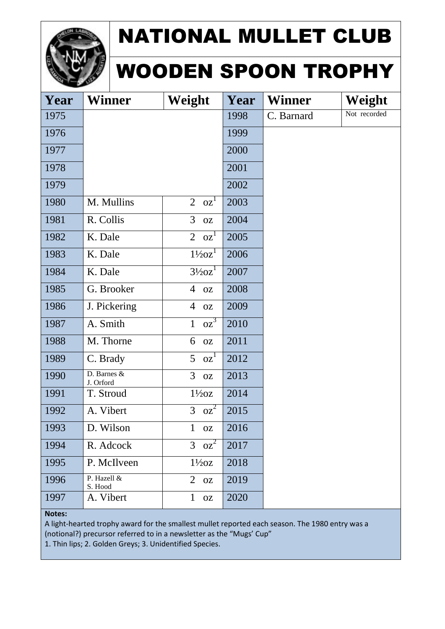

#### WOODEN SPOON TROPHY

| Year   | <b>Winner</b>            | Weight                      | Year | <b>Winner</b> | Weight       |  |  |
|--------|--------------------------|-----------------------------|------|---------------|--------------|--|--|
| 1975   |                          |                             | 1998 | C. Barnard    | Not recorded |  |  |
| 1976   |                          |                             | 1999 |               |              |  |  |
| 1977   |                          |                             | 2000 |               |              |  |  |
| 1978   |                          |                             | 2001 |               |              |  |  |
| 1979   |                          |                             | 2002 |               |              |  |  |
| 1980   | M. Mullins               | $2 \text{ oz}^1$            | 2003 |               |              |  |  |
| 1981   | R. Collis                | 3<br>OZ                     | 2004 |               |              |  |  |
| 1982   | K. Dale                  | $2 \text{ oz}^1$            | 2005 |               |              |  |  |
| 1983   | K. Dale                  | $1\frac{1}{2}oz^1$          | 2006 |               |              |  |  |
| 1984   | K. Dale                  | $3\frac{1}{2}oz^1$          | 2007 |               |              |  |  |
| 1985   | G. Brooker               | $\overline{4}$<br><b>OZ</b> | 2008 |               |              |  |  |
| 1986   | J. Pickering             | $\overline{4}$<br><b>OZ</b> | 2009 |               |              |  |  |
| 1987   | A. Smith                 | $OZ^3$<br>$\mathbf{1}$      | 2010 |               |              |  |  |
| 1988   | M. Thorne                | 6<br><b>OZ</b>              | 2011 |               |              |  |  |
| 1989   | C. Brady                 | 5<br>OZ <sup>1</sup>        | 2012 |               |              |  |  |
| 1990   | D. Barnes &<br>J. Orford | 3<br>OZ                     | 2013 |               |              |  |  |
| 1991   | T. Stroud                | $1\frac{1}{2}oz$            | 2014 |               |              |  |  |
| 1992   | A. Vibert                | $3 \text{ oz}^2$            | 2015 |               |              |  |  |
| 1993   | D. Wilson                | $\mathbf{1}$<br><b>OZ</b>   | 2016 |               |              |  |  |
| 1994   | R. Adcock                | $3 \text{ oz}^2$            | 2017 |               |              |  |  |
| 1995   | P. McIlveen              | $1\frac{1}{2}oz$            | 2018 |               |              |  |  |
| 1996   | P. Hazell &<br>S. Hood   | $2$ oz                      | 2019 |               |              |  |  |
| 1997   | A. Vibert                | $\mathbf{1}$<br><b>OZ</b>   | 2020 |               |              |  |  |
| Notes: |                          |                             |      |               |              |  |  |

A light-hearted trophy award for the smallest mullet reported each season. The 1980 entry was a (notional?) precursor referred to in a newsletter as the "Mugs' Cup"

1. Thin lips; 2. Golden Greys; 3. Unidentified Species.